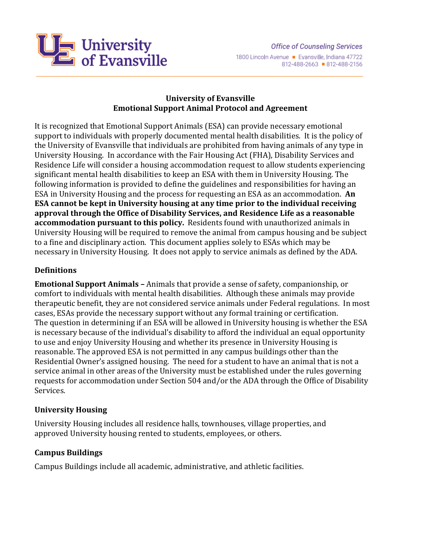

# **University of Evansville Emotional Support Animal Protocol and Agreement**

It is recognized that Emotional Support Animals (ESA) can provide necessary emotional support to individuals with properly documented mental health disabilities. It is the policy of the University of Evansville that individuals are prohibited from having animals of any type in University Housing. In accordance with the Fair Housing Act (FHA), Disability Services and Residence Life will consider a housing accommodation request to allow students experiencing significant mental health disabilities to keep an ESA with them in University Housing. The following information is provided to define the guidelines and responsibilities for having an ESA in University Housing and the process for requesting an ESA as an accommodation. **An ESA cannot be kept in University housing at any time prior to the individual receiving approval through the Office of Disability Services, and Residence Life as a reasonable accommodation pursuant to this policy.** Residents found with unauthorized animals in University Housing will be required to remove the animal from campus housing and be subject to a fine and disciplinary action. This document applies solely to ESAs which may be necessary in University Housing. It does not apply to service animals as defined by the ADA.

# **Definitions**

**Emotional Support Animals –** Animals that provide a sense of safety, companionship, or comfort to individuals with mental health disabilities. Although these animals may provide therapeutic benefit, they are not considered service animals under Federal regulations. In most cases, ESAs provide the necessary support without any formal training or certification. The question in determining if an ESA will be allowed in University housing is whether the ESA is necessary because of the individual's disability to afford the individual an equal opportunity to use and enjoy University Housing and whether its presence in University Housing is reasonable. The approved ESA is not permitted in any campus buildings other than the Residential Owner's assigned housing. The need for a student to have an animal that is not a service animal in other areas of the University must be established under the rules governing requests for accommodation under Section 504 and/or the ADA through the Office of Disability Services.

#### **University Housing**

University Housing includes all residence halls, townhouses, village properties, and approved University housing rented to students, employees, or others.

#### **Campus Buildings**

Campus Buildings include all academic, administrative, and athletic facilities.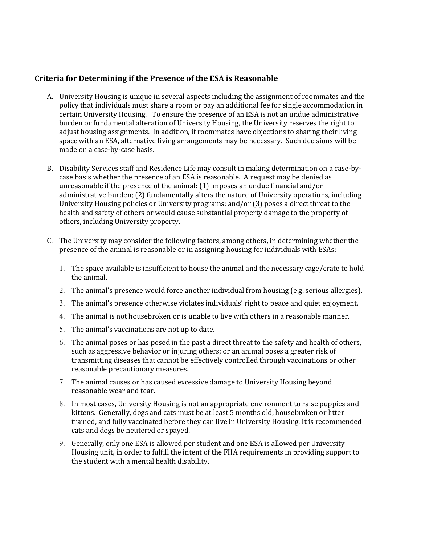#### **Criteria for Determining if the Presence of the ESA is Reasonable**

- A. University Housing is unique in several aspects including the assignment of roommates and the policy that individuals must share a room or pay an additional fee for single accommodation in certain University Housing. To ensure the presence of an ESA is not an undue administrative burden or fundamental alteration of University Housing, the University reserves the right to adjust housing assignments. In addition, if roommates have objections to sharing their living space with an ESA, alternative living arrangements may be necessary. Such decisions will be made on a case-by-case basis.
- B. Disability Services staff and Residence Life may consult in making determination on a case-bycase basis whether the presence of an ESA is reasonable. A request may be denied as unreasonable if the presence of the animal: (1) imposes an undue financial and/or administrative burden; (2) fundamentally alters the nature of University operations, including University Housing policies or University programs; and/or (3) poses a direct threat to the health and safety of others or would cause substantial property damage to the property of others, including University property.
- C. The University may consider the following factors, among others, in determining whether the presence of the animal is reasonable or in assigning housing for individuals with ESAs:
	- 1. The space available is insufficient to house the animal and the necessary cage/crate to hold the animal.
	- 2. The animal's presence would force another individual from housing (e.g. serious allergies).
	- 3. The animal's presence otherwise violates individuals' right to peace and quiet enjoyment.
	- 4. The animal is not housebroken or is unable to live with others in a reasonable manner.
	- 5. The animal's vaccinations are not up to date.
	- 6. The animal poses or has posed in the past a direct threat to the safety and health of others, such as aggressive behavior or injuring others; or an animal poses a greater risk of transmitting diseases that cannot be effectively controlled through vaccinations or other reasonable precautionary measures.
	- 7. The animal causes or has caused excessive damage to University Housing beyond reasonable wear and tear.
	- 8. In most cases, University Housing is not an appropriate environment to raise puppies and kittens. Generally, dogs and cats must be at least 5 months old, housebroken or litter trained, and fully vaccinated before they can live in University Housing. It is recommended cats and dogs be neutered or spayed.
	- 9. Generally, only one ESA is allowed per student and one ESA is allowed per University Housing unit, in order to fulfill the intent of the FHA requirements in providing support to the student with a mental health disability.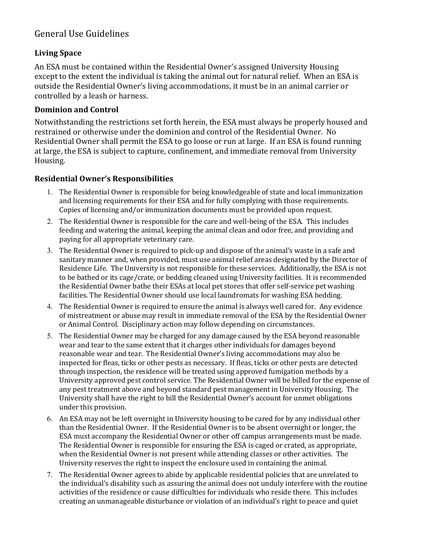# General Use Guidelines

# **Living Space**

An ESA must be contained within the Residential Owner's assigned University Housing except to the extent the individual is taking the animal out for natural relief. When an ESA is outside the Residential Owner's living accommodations, it must be in an animal carrier or controlled by a leash or harness.

#### **Dominion and Control**

Notwithstanding the restrictions set forth herein, the ESA must always be properly housed and restrained or otherwise under the dominion and control of the Residential Owner. No Residential Owner shall permit the ESA to go loose or run at large. If an ESA is found running at large, the ESA is subject to capture, confinement, and immediate removal from University Housing.

# **Residential Owner's Responsibilities**

- 1. The Residential Owner is responsible for being knowledgeable of state and local immunization and licensing requirements for their ESA and for fully complying with those requirements. Copies of licensing and/or immunization documents must be provided upon request.
- 2. The Residential Owner is responsible for the care and well-being of the ESA. This includes feeding and watering the animal, keeping the animal clean and odor free, and providing and paying for all appropriate veterinary care.
- 3. The Residential Owner is required to pick-up and dispose of the animal's waste in a safe and sanitary manner and, when provided, must use animal relief areas designated by the Director of Residence Life. The University is not responsible for these services. Additionally, the ESA is not to be bathed or its cage/crate, or bedding cleaned using University facilities. It is recommended the Residential Owner bathe their ESAs at local pet stores that offer self-service pet washing facilities. The Residential Owner should use local laundromats for washing ESA bedding.
- 4. The Residential Owner is required to ensure the animal is always well cared for. Any evidence of mistreatment or abuse may result in immediate removal of the ESA by the Residential Owner or Animal Control. Disciplinary action may follow depending on circumstances.
- 5. The Residential Owner may be charged for any damage caused by the ESA beyond reasonable wear and tear to the same extent that it charges other individuals for damages beyond reasonable wear and tear. The Residential Owner's living accommodations may also be inspected for fleas, ticks or other pests as necessary. If fleas, ticks or other pests are detected through inspection, the residence will be treated using approved fumigation methods by a University approved pest control service. The Residential Owner will be billed for the expense of any pest treatment above and beyond standard pest management in University Housing. The University shall have the right to bill the Residential Owner's account for unmet obligations under this provision.
- 6. An ESA may not be left overnight in University housing to be cared for by any individual other than the Residential Owner. If the Residential Owner is to be absent overnight or longer, the ESA must accompany the Residential Owner or other off campus arrangements must be made. The Residential Owner is responsible for ensuring the ESA is caged or crated, as appropriate, when the Residential Owner is not present while attending classes or other activities. The University reserves the right to inspect the enclosure used in containing the animal.
- 7. The Residential Owner agrees to abide by applicable residential policies that are unrelated to the individual's disability such as assuring the animal does not unduly interfere with the routine activities of the residence or cause difficulties for individuals who reside there. This includes creating an unmanageable disturbance or violation of an individual's right to peace and quiet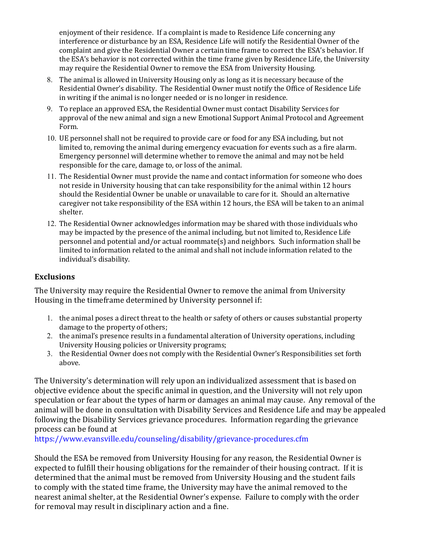enjoyment of their residence. If a complaint is made to Residence Life concerning any interference or disturbance by an ESA, Residence Life will notify the Residential Owner of the complaint and give the Residential Owner a certain time frame to correct the ESA's behavior. If the ESA's behavior is not corrected within the time frame given by Residence Life, the University may require the Residential Owner to remove the ESA from University Housing.

- 8. The animal is allowed in University Housing only as long as it is necessary because of the Residential Owner's disability. The Residential Owner must notify the Office of Residence Life in writing if the animal is no longer needed or is no longer in residence.
- 9. To replace an approved ESA, the Residential Owner must contact Disability Services for approval of the new animal and sign a new Emotional Support Animal Protocol and Agreement Form.
- 10. UE personnel shall not be required to provide care or food for any ESA including, but not limited to, removing the animal during emergency evacuation for events such as a fire alarm. Emergency personnel will determine whether to remove the animal and may not be held responsible for the care, damage to, or loss of the animal.
- 11. The Residential Owner must provide the name and contact information for someone who does not reside in University housing that can take responsibility for the animal within 12 hours should the Residential Owner be unable or unavailable to care for it. Should an alternative caregiver not take responsibility of the ESA within 12 hours, the ESA will be taken to an animal shelter.
- 12. The Residential Owner acknowledges information may be shared with those individuals who may be impacted by the presence of the animal including, but not limited to, Residence Life personnel and potential and/or actual roommate(s) and neighbors. Such information shall be limited to information related to the animal and shall not include information related to the individual's disability.

# **Exclusions**

The University may require the Residential Owner to remove the animal from University Housing in the timeframe determined by University personnel if:

- 1. the animal poses a direct threat to the health or safety of others or causes substantial property damage to the property of others;
- 2. the animal's presence results in a fundamental alteration of University operations, including University Housing policies or University programs;
- 3. the Residential Owner does not comply with the Residential Owner's Responsibilities set forth above.

The University's determination will rely upon an individualized assessment that is based on objective evidence about the specific animal in question, and the University will not rely upon speculation or fear about the types of harm or damages an animal may cause. Any removal of the animal will be done in consultation with Disability Services and Residence Life and may be appealed following the Disability Services grievance procedures. Information regarding the grievance process can be found at

<https://www.evansville.edu/counseling/disability/grievance-procedures.cfm>

Should the ESA be removed from University Housing for any reason, the Residential Owner is expected to fulfill their housing obligations for the remainder of their housing contract. If it is determined that the animal must be removed from University Housing and the student fails to comply with the stated time frame, the University may have the animal removed to the nearest animal shelter, at the Residential Owner's expense. Failure to comply with the order for removal may result in disciplinary action and a fine.